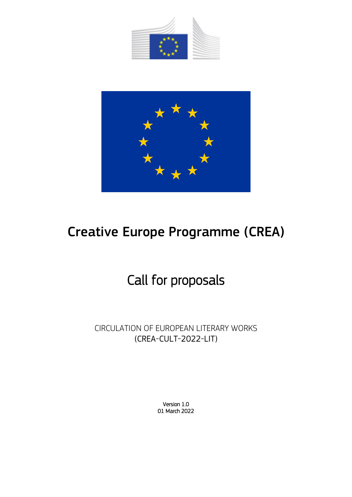



# Creative Europe Programme (CREA)

# Call for proposals

CIRCULATION OF EUROPEAN LITERARY WORKS (CREA-CULT-2022-LIT)

> Version 1.0 01 March 2022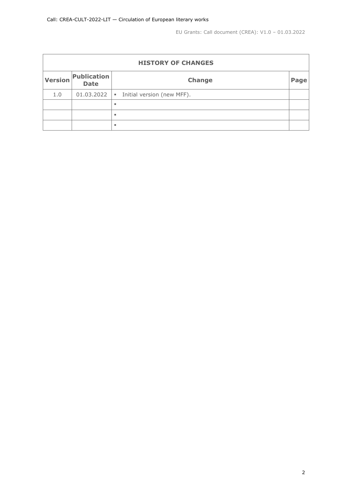| <b>HISTORY OF CHANGES</b> |                            |                                              |      |  |  |  |  |
|---------------------------|----------------------------|----------------------------------------------|------|--|--|--|--|
| <b>Version</b>            | Publication<br><b>Date</b> | <b>Change</b>                                | Page |  |  |  |  |
| 1.0                       | 01.03.2022                 | Initial version (new MFF).<br>$\blacksquare$ |      |  |  |  |  |
|                           |                            | ٠                                            |      |  |  |  |  |
|                           |                            | ٠                                            |      |  |  |  |  |
|                           |                            | ٠                                            |      |  |  |  |  |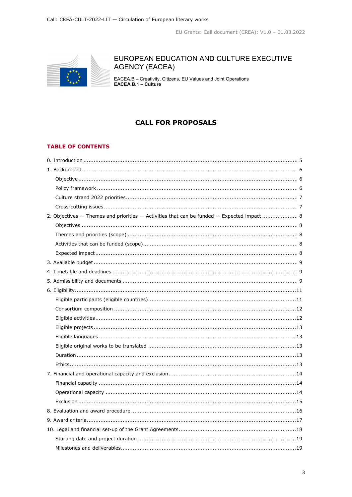

## EUROPEAN EDUCATION AND CULTURE EXECUTIVE **AGENCY (EACEA)**

EACEA.B - Creativity, Citizens, EU Values and Joint Operations<br>EACEA.B.1 - Culture

## **CALL FOR PROPOSALS**

## **TABLE OF CONTENTS**

| 2. Objectives - Themes and priorities - Activities that can be funded - Expected impact 8 |  |
|-------------------------------------------------------------------------------------------|--|
|                                                                                           |  |
|                                                                                           |  |
|                                                                                           |  |
|                                                                                           |  |
|                                                                                           |  |
|                                                                                           |  |
|                                                                                           |  |
|                                                                                           |  |
|                                                                                           |  |
|                                                                                           |  |
|                                                                                           |  |
|                                                                                           |  |
|                                                                                           |  |
|                                                                                           |  |
|                                                                                           |  |
|                                                                                           |  |
|                                                                                           |  |
|                                                                                           |  |
|                                                                                           |  |
|                                                                                           |  |
|                                                                                           |  |
|                                                                                           |  |
|                                                                                           |  |
|                                                                                           |  |
|                                                                                           |  |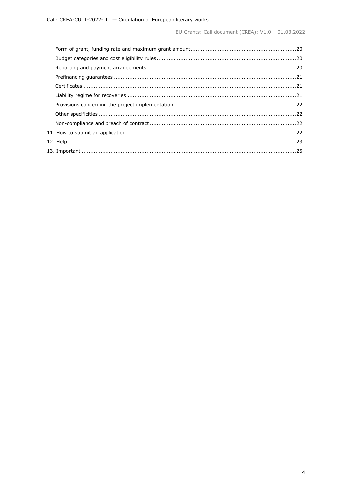EU Grants: Call document (CREA): V1.0 - 01.03.2022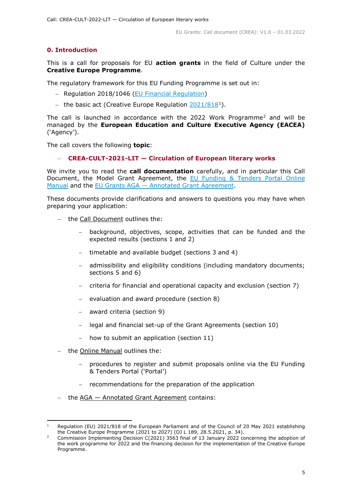## <span id="page-4-0"></span>**0. Introduction**

This is a call for proposals for EU **action grants** in the field of Culture under the **Creative Europe Programme**.

The regulatory framework for this EU Funding Programme is set out in:

- − Regulation 2018/1046 [\(EU Financial Regulation\)](https://eur-lex.europa.eu/legal-content/EN/ALL/?uri=CELEX:32018R1046&qid=1535046024012)
- − the basic act (Creative Europe Regulation [2021/818](https://eur-lex.europa.eu/legal-content/EN/ALL/?uri=CELEX:32021R0818)[1](#page-4-1)).

The call is launched in accordance with the [2](#page-4-2)022 Work Programme<sup>2</sup> and will be managed by the **European Education and Culture Executive Agency (EACEA)** ('Agency').

The call covers the following **topic**:

## − **CREA-CULT-2021-LIT — Circulation of European literary works**

We invite you to read the **call documentation** carefully, and in particular this Call Document, the Model Grant Agreement, the [EU Funding & Tenders Portal Online](https://ec.europa.eu/info/funding-tenders/opportunities/docs/2021-2027/common/guidance/om_en.pdf)  [Manual](https://ec.europa.eu/info/funding-tenders/opportunities/docs/2021-2027/common/guidance/om_en.pdf) and the EU Grants AGA — [Annotated Grant Agreement.](https://ec.europa.eu/info/funding-tenders/opportunities/docs/2021-2027/common/guidance/aga_en.pdf)

These documents provide clarifications and answers to questions you may have when preparing your application:

- the Call Document outlines the:
	- background, objectives, scope, activities that can be funded and the expected results (sections 1 and 2)
	- timetable and available budget (sections 3 and 4)
	- admissibility and eligibility conditions (including mandatory documents; sections 5 and 6)
	- − criteria for financial and operational capacity and exclusion (section 7)
	- − evaluation and award procedure (section 8)
	- − award criteria (section 9)
	- − legal and financial set-up of the Grant Agreements (section 10)
	- − how to submit an application (section 11)
- − the Online Manual outlines the:
	- procedures to register and submit proposals online via the EU Funding & Tenders Portal ('Portal')
	- − recommendations for the preparation of the application
- − the AGA Annotated Grant Agreement contains:

<span id="page-4-1"></span>Regulation (EU) 2021/818 of the European Parliament and of the Council of 20 May 2021 establishing the Creative Europe Programme (2021 to 2027) (OJ L 189, 28.5.2021, p. 34).

<span id="page-4-2"></span><sup>2</sup> Commission Implementing Decision C(2021) 3563 final of 13 January 2022 concerning the adoption of the work programme for 2022 and the financing decision for the implementation of the Creative Europe Programme.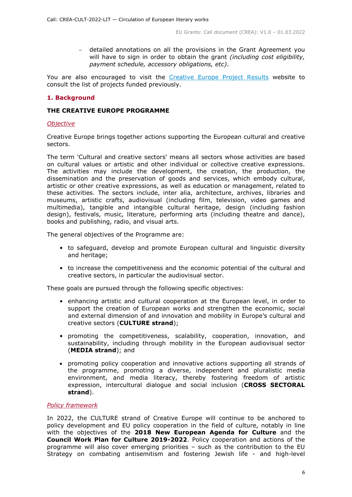− detailed annotations on all the provisions in the Grant Agreement you will have to sign in order to obtain the grant *(including cost eligibility, payment schedule, accessory obligations, etc)*.

You are also encouraged to visit the [Creative Europe Project Results](https://ec.europa.eu/programmes/creative-europe/projects/) website to consult the list of projects funded previously.

## <span id="page-5-0"></span>**1. Background**

## **THE CREATIVE EUROPE PROGRAMME**

## <span id="page-5-1"></span>*Objective*

Creative Europe brings together actions supporting the European cultural and creative sectors.

The term 'Cultural and creative sectors' means all sectors whose activities are based on cultural values or artistic and other individual or collective creative expressions. The activities may include the development, the creation, the production, the dissemination and the preservation of goods and services, which embody cultural, artistic or other creative expressions, as well as education or management, related to these activities. The sectors include, inter alia, architecture, archives, libraries and museums, artistic crafts, audiovisual (including film, television, video games and multimedia), tangible and intangible cultural heritage, design (including fashion design), festivals, music, literature, performing arts (including theatre and dance), books and publishing, radio, and visual arts.

The general objectives of the Programme are:

- to safeguard, develop and promote European cultural and linguistic diversity and heritage;
- to increase the competitiveness and the economic potential of the cultural and creative sectors, in particular the audiovisual sector.

These goals are pursued through the following specific objectives:

- enhancing artistic and cultural cooperation at the European level, in order to support the creation of European works and strengthen the economic, social and external dimension of and innovation and mobility in Europe's cultural and creative sectors (**CULTURE strand**);
- promoting the competitiveness, scalability, cooperation, innovation, and sustainability, including through mobility in the European audiovisual sector (**MEDIA strand**); and
- promoting policy cooperation and innovative actions supporting all strands of the programme, promoting a diverse, independent and pluralistic media environment, and media literacy, thereby fostering freedom of artistic expression, intercultural dialogue and social inclusion (**CROSS SECTORAL strand**).

## <span id="page-5-2"></span>*Policy framework*

In 2022, the CULTURE strand of Creative Europe will continue to be anchored to policy development and EU policy cooperation in the field of culture, notably in line with the objectives of the **2018 New European Agenda for Culture** and the **Council Work Plan for Culture 2019-2022**. Policy cooperation and actions of the programme will also cover emerging priorities – such as the contribution to the EU Strategy on combating antisemitism and fostering Jewish life - and high-level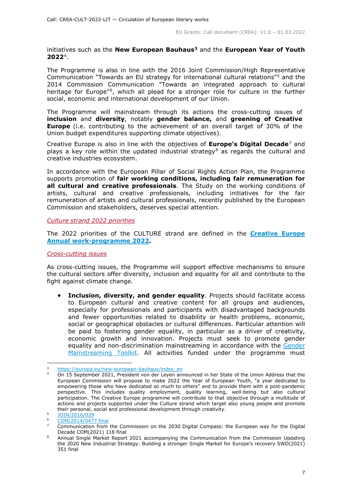#### initiatives such as the **New European Bauhaus[3](#page-6-2)** and the **European Year of Youth 2022**[4](#page-6-3).

The Programme is also in line with the 2016 Joint Commission/High Representative Communication "Towards an EU strategy for international cultural relations"[5](#page-6-4) and the 2014 Commission Communication "Towards an integrated approach to cultural heritage for Europe"<sup>6</sup>, which all plead for a stronger role for culture in the further social, economic and international development of our Union.

The Programme will mainstream through its actions the cross-cutting issues of **inclusion** and **diversity**, notably **gender balance,** and **greening of Creative Europe** (i.e. contributing to the achievement of an overall target of 30% of the Union budget expenditures supporting climate objectives).

Creative Europe is also in line with the objectives of **Europe's Digital Decade**[7](#page-6-6) and plays a key role within the updated industrial strategy<sup>[8](#page-6-7)</sup> as regards the cultural and creative industries ecosystem.

In accordance with the European Pillar of Social Rights Action Plan, the Programme supports promotion of **fair working conditions, including fair remuneration for all cultural and creative professionals**. The Study on the working conditions of artists, cultural and creative professionals, including initiatives for the fair remuneration of artists and cultural professionals, recently published by the European Commission and stakeholders, deserves special attention.

#### <span id="page-6-0"></span>*Culture strand 2022 priorities*

The 2022 priorities of the CULTURE strand are defined in the **[Creative Europe](https://ec.europa.eu/culture/sites/default/files/2022-01/creative-europe-annual-work-programme-2022.pdf)  [Annual work-programme 2022.](https://ec.europa.eu/culture/sites/default/files/2022-01/creative-europe-annual-work-programme-2022.pdf)**

#### <span id="page-6-1"></span>*Cross-cutting issues*

As cross-cutting issues, the Programme will support effective mechanisms to ensure the cultural sectors offer diversity, inclusion and equality for all and contribute to the fight against climate change.

• **Inclusion, diversity, and gender equality**. Projects should facilitate access to European cultural and creative content for all groups and audiences, especially for professionals and participants with disadvantaged backgrounds and fewer opportunities related to disability or health problems, economic, social or geographical obstacles or cultural differences. Particular attention will be paid to fostering gender equality, in particular as a driver of creativity, economic growth and innovation. Projects must seek to promote gender equality and non-discrimination mainstreaming in accordance with the [Gender](https://eige.europa.eu/gender-mainstreaming/toolkits/gender-impact-assessment/guide-gender-impact-assessment)  [Mainstreaming Toolkit.](https://eige.europa.eu/gender-mainstreaming/toolkits/gender-impact-assessment/guide-gender-impact-assessment) All activities funded under the programme must

<span id="page-6-2"></span>[https://europa.eu/new-european-bauhaus/index\\_en](https://europa.eu/new-european-bauhaus/index_en)

<span id="page-6-3"></span><sup>4</sup> On 15 September 2021, President von der Leyen announced in her State of the Union Address that the European Commission will propose to make 2022 the Year of European Youth, "a year dedicated to empowering those who have dedicated so much to others" and to provide them with a post-pandemic perspective. This includes quality employment, quality learning, well-being but also cultural participation. The Creative Europe programme will contribute to that objective through a multitude of actions and projects supported under the Culture strand which target also young people and promote their personal, social and professional development through creativity.

<span id="page-6-4"></span><sup>5</sup> [JOIN/2016/029](http://eur-lex.europa.eu/legal-content/EN/TXT/?uri=JOIN%3A2016%3A29%3AFIN)

[COM/2014/0477 final](https://eur-lex.europa.eu/legal-content/EN/TXT/?uri=CELEX:52014DC0477)

<span id="page-6-6"></span><span id="page-6-5"></span><sup>7</sup> Communication from the Commission on the 2030 Digital Compass: the European way for the Digital Decade COM(2021) 118 final

<span id="page-6-7"></span><sup>8</sup> Annual Single Market Report 2021 accompanying the Communication from the Commission Updating the 2020 New Industrial Strategy: Building a stronger Single Market for Europe's recovery SWD(2021) 351 final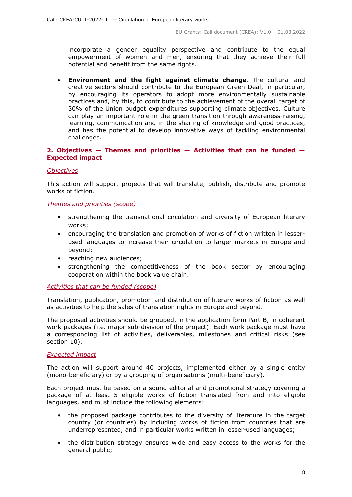incorporate a gender equality perspective and contribute to the equal empowerment of women and men, ensuring that they achieve their full potential and benefit from the same rights.

• **Environment and the fight against climate change**. The cultural and creative sectors should contribute to the European Green Deal, in particular, by encouraging its operators to adopt more environmentally sustainable practices and, by this, to contribute to the achievement of the overall target of 30% of the Union budget expenditures supporting climate objectives. Culture can play an important role in the green transition through awareness-raising, learning, communication and in the sharing of knowledge and good practices, and has the potential to develop innovative ways of tackling environmental challenges.

## <span id="page-7-0"></span>**2. Objectives — Themes and priorities — Activities that can be funded — Expected impact**

## <span id="page-7-1"></span>*Objectives*

This action will support projects that will translate, publish, distribute and promote works of fiction.

#### <span id="page-7-2"></span>*Themes and priorities (scope)*

- strengthening the transnational circulation and diversity of European literary works;
- encouraging the translation and promotion of works of fiction written in lesserused languages to increase their circulation to larger markets in Europe and beyond;
- reaching new audiences;
- strengthening the competitiveness of the book sector by encouraging cooperation within the book value chain.

## <span id="page-7-3"></span>*Activities that can be funded (scope)*

Translation, publication, promotion and distribution of literary works of fiction as well as activities to help the sales of translation rights in Europe and beyond.

The proposed activities should be grouped, in the application form Part B, in coherent work packages (i.e. major sub-division of the project). Each work package must have a corresponding list of activities, deliverables, milestones and critical risks (see section 10).

## <span id="page-7-4"></span>*Expected impact*

The action will support around 40 projects, implemented either by a single entity (mono-beneficiary) or by a grouping of organisations (multi-beneficiary).

Each project must be based on a sound editorial and promotional strategy covering a package of at least 5 eligible works of fiction translated from and into eligible languages, and must include the following elements:

- the proposed package contributes to the diversity of literature in the target country (or countries) by including works of fiction from countries that are underrepresented, and in particular works written in lesser-used languages;
- the distribution strategy ensures wide and easy access to the works for the general public;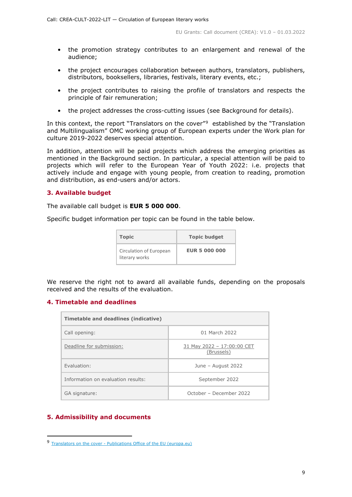- the promotion strategy contributes to an enlargement and renewal of the audience;
- the project encourages collaboration between authors, translators, publishers, distributors, booksellers, libraries, festivals, literary events, etc.;
- the project contributes to raising the profile of translators and respects the principle of fair remuneration;
- the project addresses the cross-cutting issues (see Background for details).

In this context, the report "Translators on the cover"<sup>9</sup> established by the "Translation and Multilingualism" OMC working group of European experts under the Work plan for culture 2019-2022 deserves special attention.

In addition, attention will be paid projects which address the emerging priorities as mentioned in the Background section. In particular, a special attention will be paid to projects which will refer to the European Year of Youth 2022: i.e. projects that actively include and engage with young people, from creation to reading, promotion and distribution, as end-users and/or actors.

## <span id="page-8-0"></span>**3. Available budget**

The available call budget is **EUR 5 000 000**.

Specific budget information per topic can be found in the table below.

| <b>Topic</b>                              | <b>Topic budget</b>  |
|-------------------------------------------|----------------------|
| Circulation of European<br>literary works | <b>EUR 5 000 000</b> |

We reserve the right not to award all available funds, depending on the proposals received and the results of the evaluation.

## <span id="page-8-1"></span>**4. Timetable and deadlines**

| Timetable and deadlines (indicative) |                                          |  |  |  |  |
|--------------------------------------|------------------------------------------|--|--|--|--|
| Call opening:                        | 01 March 2022                            |  |  |  |  |
| Deadline for submission:             | 31 May 2022 - 17:00:00 CET<br>(Brussels) |  |  |  |  |
| Evaluation:                          | June - August 2022                       |  |  |  |  |
| Information on evaluation results:   | September 2022                           |  |  |  |  |
| GA signature:                        | October – December 2022                  |  |  |  |  |

## <span id="page-8-2"></span>**5. Admissibility and documents**

<span id="page-8-3"></span> <sup>9</sup> Translators on the cover - [Publications Office of the EU \(europa.eu\)](https://op.europa.eu/en/publication-detail/-/publication/a4059b86-8317-11ec-8c40-01aa75ed71a1/language-en)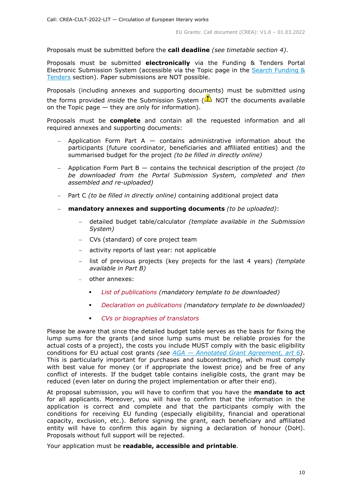Proposals must be submitted before the **call deadline** *(see timetable section 4)*.

Proposals must be submitted **electronically** via the Funding & Tenders Portal Electronic Submission System (accessible via the Topic page in the [Search Funding &](https://ec.europa.eu/info/funding-tenders/opportunities/portal/screen/opportunities/topic-search;freeTextSearchKeyword=;typeCodes=0,1;statusCodes=31094501,31094502,31094503;programCode=null;programDivisionCode=null;focusAreaCode=null;crossCuttingPriorityCode=null;callCode=Default;sortQuery=openingDate;orderBy=asc;onlyTenders=false;topicListKey=topicSearchTablePageState)  [Tenders](https://ec.europa.eu/info/funding-tenders/opportunities/portal/screen/opportunities/topic-search;freeTextSearchKeyword=;typeCodes=0,1;statusCodes=31094501,31094502,31094503;programCode=null;programDivisionCode=null;focusAreaCode=null;crossCuttingPriorityCode=null;callCode=Default;sortQuery=openingDate;orderBy=asc;onlyTenders=false;topicListKey=topicSearchTablePageState) section). Paper submissions are NOT possible.

Proposals (including annexes and supporting documents) must be submitted using the forms provided *inside* the Submission System (**A**) NOT the documents available on the Topic page — they are only for information).

Proposals must be **complete** and contain all the requested information and all required annexes and supporting documents:

- Application Form Part A  $-$  contains administrative information about the participants (future coordinator, beneficiaries and affiliated entities) and the summarised budget for the project *(to be filled in directly online)*
- − Application Form Part B contains the technical description of the project *(to be downloaded from the Portal Submission System, completed and then assembled and re-uploaded)*
- − Part C *(to be filled in directly online)* containing additional project data
- − **mandatory annexes and supporting documents** *(to be uploaded)*:
	- − detailed budget table/calculator *(template available in the Submission System)*
	- − CVs (standard) of core project team
	- − activity reports of last year: not applicable
	- − list of previous projects (key projects for the last 4 years) *(template available in Part B)*
	- − other annexes:
		- *List of publications (mandatory template to be downloaded)*
		- *Declaration on publications (mandatory template to be downloaded)*
		- *CVs or biographies of translators*

Please be aware that since the detailed budget table serves as the basis for fixing the lump sums for the grants (and since lump sums must be reliable proxies for the actual costs of a project), the costs you include MUST comply with the basic eligibility conditions for EU actual cost grants *(see AGA — [Annotated Grant Agreement, art 6\)](https://ec.europa.eu/info/funding-tenders/opportunities/docs/2021-2027/common/guidance/aga_en.pdf)*. This is particularly important for purchases and subcontracting, which must comply with best value for money (or if appropriate the lowest price) and be free of any conflict of interests. If the budget table contains ineligible costs, the grant may be reduced (even later on during the project implementation or after their end).

At proposal submission, you will have to confirm that you have the **mandate to act** for all applicants. Moreover, you will have to confirm that the information in the application is correct and complete and that the participants comply with the conditions for receiving EU funding (especially eligibility, financial and operational capacity, exclusion, etc.). Before signing the grant, each beneficiary and affiliated entity will have to confirm this again by signing a declaration of honour (DoH). Proposals without full support will be rejected.

Your application must be **readable, accessible and printable**.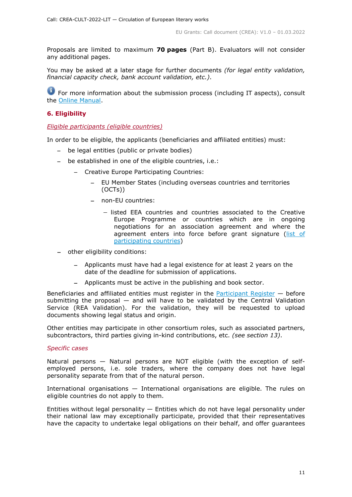Proposals are limited to maximum **70 pages** (Part B). Evaluators will not consider any additional pages.

You may be asked at a later stage for further documents *(for legal entity validation, financial capacity check, bank account validation, etc.)*.

**For more information about the submission process (including IT aspects), consult** the **Online Manual**.

## <span id="page-10-0"></span>**6. Eligibility**

## <span id="page-10-1"></span>*Eligible participants (eligible countries)*

In order to be eligible, the applicants (beneficiaries and affiliated entities) must:

- − be legal entities (public or private bodies)
- − be established in one of the eligible countries, i.e.:
	- − Creative Europe Participating Countries:
		- EU Member States (including overseas countries and territories (OCTs))
		- − non-EU countries:
			- − listed EEA countries and countries associated to the Creative Europe Programme or countries which are in ongoing negotiations for an association agreement and where the agreement enters into force before grant signature (list of [participating countries\)](https://ec.europa.eu/info/funding-tenders/opportunities/docs/2021-2027/crea/guidance/list-3rd-country-participation_crea_en.pdf)
- − other eligibility conditions:
	- − Applicants must have had a legal existence for at least 2 years on the date of the deadline for submission of applications.
	- − Applicants must be active in the publishing and book sector.

Beneficiaries and affiliated entities must register in the [Participant Register](https://ec.europa.eu/info/funding-tenders/opportunities/portal/screen/how-to-participate/participant-register) — before submitting the proposal  $-$  and will have to be validated by the Central Validation Service (REA Validation). For the validation, they will be requested to upload documents showing legal status and origin.

Other entities may participate in other consortium roles, such as associated partners, subcontractors, third parties giving in-kind contributions, etc. *(see section 13)*.

## *Specific cases*

Natural persons — Natural persons are NOT eligible (with the exception of selfemployed persons, i.e. sole traders, where the company does not have legal personality separate from that of the natural person.

International organisations — International organisations are eligible. The rules on eligible countries do not apply to them.

Entities without legal personality  $-$  Entities which do not have legal personality under their national law may exceptionally participate, provided that their representatives have the capacity to undertake legal obligations on their behalf, and offer guarantees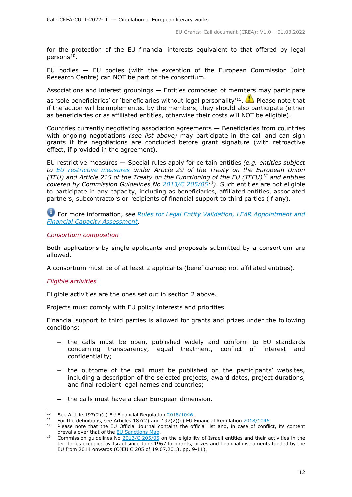for the protection of the EU financial interests equivalent to that offered by legal  $person<sup>10</sup>$  $person<sup>10</sup>$  $person<sup>10</sup>$ .

EU bodies — EU bodies (with the exception of the European Commission Joint Research Centre) can NOT be part of the consortium.

Associations and interest groupings — Entities composed of members may participate

as 'sole beneficiaries' or 'beneficiaries without legal personality'<sup>[11](#page-11-3)</sup>. **The Please note that** if the action will be implemented by the members, they should also participate (either as beneficiaries or as affiliated entities, otherwise their costs will NOT be eligible).

Countries currently negotiating association agreements — Beneficiaries from countries with ongoing negotiations *(see list above)* may participate in the call and can sign grants if the negotiations are concluded before grant signature (with retroactive effect, if provided in the agreement).

EU restrictive measures — Special rules apply for certain entities *(e.g. entities subject to [EU restrictive measures](http://www.sanctionsmap.eu/) under Article 29 of the Treaty on the European Union (TEU) and Article 215 of the Treaty on the Functioning of the EU (TFEU)[12](#page-11-4) and entities covered by Commission Guidelines No [2013/C 205/05](http://eur-lex.europa.eu/LexUriServ/LexUriServ.do?uri=OJ:C:2013:205:FULL:EN:PDF)[13\)](#page-11-5)*. Such entities are not eligible to participate in any capacity, including as beneficiaries, affiliated entities, associated partners, subcontractors or recipients of financial support to third parties (if any).

For more information, *see [Rules for Legal Entity Validation, LEAR Appointment and](https://ec.europa.eu/info/funding-tenders/opportunities/docs/2021-2027/common/guidance/rules-lev-lear-fca_en.pdf)  [Financial Capacity Assessment](https://ec.europa.eu/info/funding-tenders/opportunities/docs/2021-2027/common/guidance/rules-lev-lear-fca_en.pdf)*.

<span id="page-11-0"></span>*Consortium composition*

Both applications by single applicants and proposals submitted by a consortium are allowed.

A consortium must be of at least 2 applicants (beneficiaries; not affiliated entities).

## <span id="page-11-1"></span>*Eligible activities*

Eligible activities are the ones set out in section 2 above.

Projects must comply with EU policy interests and priorities

Financial support to third parties is allowed for grants and prizes under the following conditions:

- − the calls must be open, published widely and conform to EU standards concerning transparency, equal treatment, conflict of interest and confidentiality;
- − the outcome of the call must be published on the participants' websites, including a description of the selected projects, award dates, project durations, and final recipient legal names and countries;
- − the calls must have a clear European dimension.

<span id="page-11-2"></span><sup>&</sup>lt;sup>10</sup> See Article 197(2)(c) EU Financial Regulation  $\frac{2018/1046}{21}$ .

For the definitions, see Articles  $187(2)$  and  $197(2)(c)$  EU Financial Regulation  $2018/1046$ .

<span id="page-11-4"></span><span id="page-11-3"></span>Please note that the EU Official Journal contains the official list and, in case of conflict, its content prevails over that of the EU Sanctions Map.

<span id="page-11-5"></span><sup>&</sup>lt;sup>13</sup> Commission guidelines No  $\frac{2013}{C}$  205/05 on the eligibility of Israeli entities and their activities in the territories occupied by Israel since June 1967 for grants, prizes and financial instruments funded by the EU from 2014 onwards (OJEU C 205 of 19.07.2013, pp. 9-11).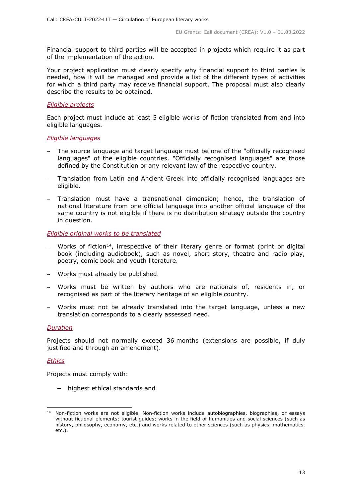Financial support to third parties will be accepted in projects which require it as part of the implementation of the action.

Your project application must clearly specify why financial support to third parties is needed, how it will be managed and provide a list of the different types of activities for which a third party may receive financial support. The proposal must also clearly describe the results to be obtained.

#### <span id="page-12-0"></span>*Eligible projects*

Each project must include at least 5 eligible works of fiction translated from and into eligible languages.

#### <span id="page-12-1"></span>*Eligible languages*

- The source language and target language must be one of the "officially recognised languages" of the eligible countries. "Officially recognised languages" are those defined by the Constitution or any relevant law of the respective country.
- − Translation from Latin and Ancient Greek into officially recognised languages are eligible.
- Translation must have a transnational dimension; hence, the translation of national literature from one official language into another official language of the same country is not eligible if there is no distribution strategy outside the country in question.

#### <span id="page-12-2"></span>*Eligible original works to be translated*

- − Works of fiction<sup>14</sup>, irrespective of their literary genre or format (print or digital book (including audiobook), such as novel, short story, theatre and radio play, poetry, comic book and youth literature.
- − Works must already be published.
- − Works must be written by authors who are nationals of, residents in, or recognised as part of the literary heritage of an eligible country.
- − Works must not be already translated into the target language, unless a new translation corresponds to a clearly assessed need.

## <span id="page-12-3"></span>*Duration*

Projects should not normally exceed 36 months (extensions are possible, if duly justified and through an amendment).

## <span id="page-12-4"></span>*Ethics*

Projects must comply with:

− highest ethical standards and

<span id="page-12-5"></span><sup>&</sup>lt;sup>14</sup> Non-fiction works are not eligible. Non-fiction works include autobiographies, biographies, or essays without fictional elements; tourist guides; works in the field of humanities and social sciences (such as history, philosophy, economy, etc.) and works related to other sciences (such as physics, mathematics, etc.).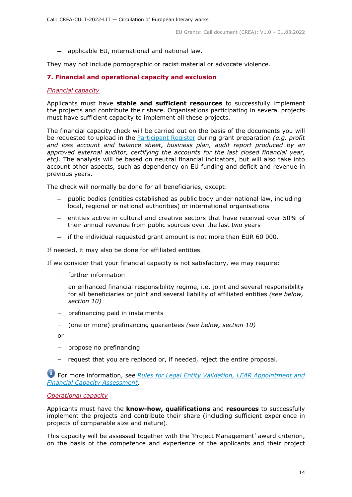− applicable EU, international and national law.

They may not include pornographic or racist material or advocate violence.

## <span id="page-13-0"></span>**7. Financial and operational capacity and exclusion**

## <span id="page-13-1"></span>*Financial capacity*

Applicants must have **stable and sufficient resources** to successfully implement the projects and contribute their share. Organisations participating in several projects must have sufficient capacity to implement all these projects.

The financial capacity check will be carried out on the basis of the documents you will be requested to upload in the [Participant Register](https://ec.europa.eu/info/funding-tenders/opportunities/portal/screen/how-to-participate/participant-register) during grant preparation *(e.g. profit and loss account and balance sheet, business plan, audit report produced by an approved external auditor, certifying the accounts for the last closed financial year, etc)*. The analysis will be based on neutral financial indicators, but will also take into account other aspects, such as dependency on EU funding and deficit and revenue in previous years.

The check will normally be done for all beneficiaries, except:

- − public bodies (entities established as public body under national law, including local, regional or national authorities) or international organisations
- − entities active in cultural and creative sectors that have received over 50% of their annual revenue from public sources over the last two years
- − if the individual requested grant amount is not more than EUR 60 000.

If needed, it may also be done for affiliated entities.

If we consider that your financial capacity is not satisfactory, we may require:

- − further information
- − an enhanced financial responsibility regime, i.e. joint and several responsibility for all beneficiaries or joint and several liability of affiliated entities *(see below, section 10)*
- − prefinancing paid in instalments
- − (one or more) prefinancing guarantees *(see below, section 10)*
- or
- − propose no prefinancing
- − request that you are replaced or, if needed, reject the entire proposal.

For more information, *see Rules for [Legal Entity Validation, LEAR Appointment and](https://ec.europa.eu/info/funding-tenders/opportunities/docs/2021-2027/common/guidance/rules-lev-lear-fca_en.pdf)  [Financial Capacity Assessment](https://ec.europa.eu/info/funding-tenders/opportunities/docs/2021-2027/common/guidance/rules-lev-lear-fca_en.pdf)*.

## <span id="page-13-2"></span>*Operational capacity*

Applicants must have the **know-how, qualifications** and **resources** to successfully implement the projects and contribute their share (including sufficient experience in projects of comparable size and nature).

This capacity will be assessed together with the 'Project Management' award criterion, on the basis of the competence and experience of the applicants and their project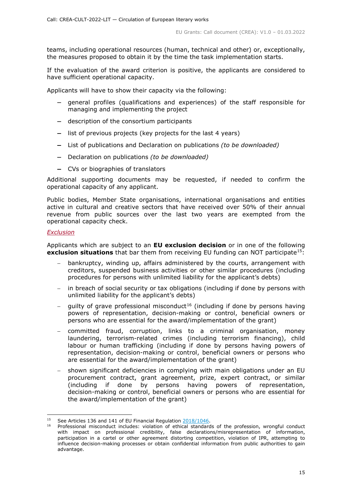teams, including operational resources (human, technical and other) or, exceptionally, the measures proposed to obtain it by the time the task implementation starts.

If the evaluation of the award criterion is positive, the applicants are considered to have sufficient operational capacity.

Applicants will have to show their capacity via the following:

- − general profiles (qualifications and experiences) of the staff responsible for managing and implementing the project
- − description of the consortium participants
- − list of previous projects (key projects for the last 4 years)
- − List of publications and Declaration on publications *(to be downloaded)*
- − Declaration on publications *(to be downloaded)*
- − CVs or biographies of translators

Additional supporting documents may be requested, if needed to confirm the operational capacity of any applicant.

Public bodies, Member State organisations, international organisations and entities active in cultural and creative sectors that have received over 50% of their annual revenue from public sources over the last two years are exempted from the operational capacity check.

#### <span id="page-14-0"></span>*Exclusion*

Applicants which are subject to an **EU exclusion decision** or in one of the following **exclusion situations** that bar them from receiving EU funding can NOT participate<sup>15</sup>:

- bankruptcy, winding up, affairs administered by the courts, arrangement with creditors, suspended business activities or other similar procedures (including procedures for persons with unlimited liability for the applicant's debts)
- in breach of social security or tax obligations (including if done by persons with unlimited liability for the applicant's debts)
- − guilty of grave professional misconduct<sup>[16](#page-14-2)</sup> (including if done by persons having powers of representation, decision-making or control, beneficial owners or persons who are essential for the award/implementation of the grant)
- − committed fraud, corruption, links to a criminal organisation, money laundering, terrorism-related crimes (including terrorism financing), child labour or human trafficking (including if done by persons having powers of representation, decision-making or control, beneficial owners or persons who are essential for the award/implementation of the grant)
- shown significant deficiencies in complying with main obligations under an EU procurement contract, grant agreement, prize, expert contract, or similar (including if done by persons having powers of representation, decision-making or control, beneficial owners or persons who are essential for the award/implementation of the grant)

<span id="page-14-2"></span><span id="page-14-1"></span> <sup>15</sup> See Articles <sup>136</sup> and 141 of EU Financial Regulation [2018/1046.](https://eur-lex.europa.eu/legal-content/EN/ALL/?uri=CELEX:32018R1046&qid=1535046024012)

Professional misconduct includes: violation of ethical standards of the profession, wrongful conduct with impact on professional credibility, false declarations/misrepresentation of information, participation in a cartel or other agreement distorting competition, violation of IPR, attempting to influence decision-making processes or obtain confidential information from public authorities to gain advantage.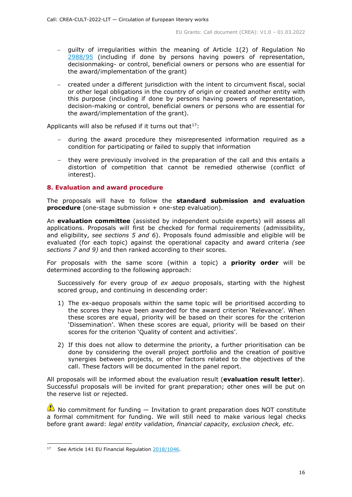- − guilty of irregularities within the meaning of Article 1(2) of Regulation No [2988/95](http://eur-lex.europa.eu/legal-content/EN/ALL/?uri=CELEX:31995R2988&qid=1501598622514) (including if done by persons having powers of representation, decisionmaking- or control, beneficial owners or persons who are essential for the award/implementation of the grant)
- − created under a different jurisdiction with the intent to circumvent fiscal, social or other legal obligations in the country of origin or created another entity with this purpose (including if done by persons having powers of representation, decision-making or control, beneficial owners or persons who are essential for the award/implementation of the grant).

Applicants will also be refused if it turns out that $17$ :

- − during the award procedure they misrepresented information required as a condition for participating or failed to supply that information
- − they were previously involved in the preparation of the call and this entails a distortion of competition that cannot be remedied otherwise (conflict of interest).

## <span id="page-15-0"></span>**8. Evaluation and award procedure**

The proposals will have to follow the **standard submission and evaluation procedure** (one-stage submission + one-step evaluation).

An **evaluation committee** (assisted by independent outside experts) will assess all applications. Proposals will first be checked for formal requirements (admissibility, and eligibility, *see sections 5 and 6*). Proposals found admissible and eligible will be evaluated (for each topic) against the operational capacity and award criteria *(see sections 7 and 9)* and then ranked according to their scores.

For proposals with the same score (within a topic) a **priority order** will be determined according to the following approach:

Successively for every group of *ex aequo* proposals, starting with the highest scored group, and continuing in descending order:

- 1) The ex-aequo proposals within the same topic will be prioritised according to the scores they have been awarded for the award criterion 'Relevance'. When these scores are equal, priority will be based on their scores for the criterion 'Dissemination'. When these scores are equal, priority will be based on their scores for the criterion 'Quality of content and activities'.
- 2) If this does not allow to determine the priority, a further prioritisation can be done by considering the overall project portfolio and the creation of positive synergies between projects, or other factors related to the objectives of the call. These factors will be documented in the panel report.

All proposals will be informed about the evaluation result (**evaluation result letter**). Successful proposals will be invited for grant preparation; other ones will be put on the reserve list or rejected.

 $\triangle$  No commitment for funding  $-$  Invitation to grant preparation does NOT constitute a formal commitment for funding. We will still need to make various legal checks before grant award: *legal entity validation, financial capacity, exclusion check, etc*.

<span id="page-15-1"></span><sup>&</sup>lt;sup>17</sup> See Article 141 EU Financial Regulation [2018/1046.](https://eur-lex.europa.eu/legal-content/EN/ALL/?uri=CELEX:32018R1046&qid=1535046024012)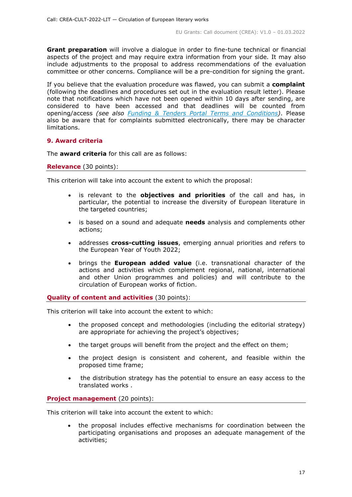**Grant preparation** will involve a dialogue in order to fine-tune technical or financial aspects of the project and may require extra information from your side. It may also include adjustments to the proposal to address recommendations of the evaluation committee or other concerns. Compliance will be a pre-condition for signing the grant.

If you believe that the evaluation procedure was flawed, you can submit a **complaint** (following the deadlines and procedures set out in the evaluation result letter). Please note that notifications which have not been opened within 10 days after sending, are considered to have been accessed and that deadlines will be counted from opening/access *(see also [Funding & Tenders Portal Terms and Conditions\)](https://ec.europa.eu/info/funding-tenders/opportunities/docs/2021-2027/common/ftp/tc_en.pdf)*. Please also be aware that for complaints submitted electronically, there may be character limitations.

## <span id="page-16-0"></span>**9. Award criteria**

The **award criteria** for this call are as follows:

#### **Relevance** (30 points):

This criterion will take into account the extent to which the proposal:

- is relevant to the **objectives and priorities** of the call and has, in particular, the potential to increase the diversity of European literature in the targeted countries;
- is based on a sound and adequate **needs** analysis and complements other actions;
- addresses **cross-cutting issues**, emerging annual priorities and refers to the European Year of Youth 2022;
- brings the **European added value** (i.e. transnational character of the actions and activities which complement regional, national, international and other Union programmes and policies) and will contribute to the circulation of European works of fiction.

## **Quality of content and activities** (30 points):

This criterion will take into account the extent to which:

- the proposed concept and methodologies (including the editorial strategy) are appropriate for achieving the project's objectives;
- the target groups will benefit from the project and the effect on them;
- the project design is consistent and coherent, and feasible within the proposed time frame;
- the distribution strategy has the potential to ensure an easy access to the translated works .

## **Project management** (20 points):

This criterion will take into account the extent to which:

• the proposal includes effective mechanisms for coordination between the participating organisations and proposes an adequate management of the activities;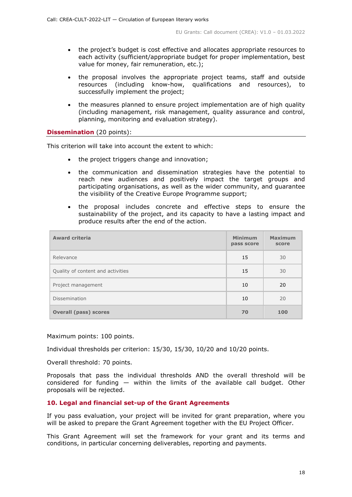- the project's budget is cost effective and allocates appropriate resources to each activity (sufficient/appropriate budget for proper implementation, best value for money, fair remuneration, etc.);
- the proposal involves the appropriate project teams, staff and outside resources (including know-how, qualifications and resources), to successfully implement the project;
- the measures planned to ensure project implementation are of high quality (including management, risk management, quality assurance and control, planning, monitoring and evaluation strategy).

## **Dissemination** (20 points):

This criterion will take into account the extent to which:

- the project triggers change and innovation;
- the communication and dissemination strategies have the potential to reach new audiences and positively impact the target groups and participating organisations, as well as the wider community, and guarantee the visibility of the Creative Europe Programme support;
- the proposal includes concrete and effective steps to ensure the sustainability of the project, and its capacity to have a lasting impact and produce results after the end of the action.

| <b>Award criteria</b>             | <b>Minimum</b><br>pass score | <b>Maximum</b><br>score |
|-----------------------------------|------------------------------|-------------------------|
| Relevance                         | 15                           | 30                      |
| Quality of content and activities | 15                           | 30                      |
| Project management                | 10                           | 20                      |
| Dissemination                     | 10                           | 20                      |
| <b>Overall (pass) scores</b>      | 70                           | 100                     |

Maximum points: 100 points.

Individual thresholds per criterion: 15/30, 15/30, 10/20 and 10/20 points.

Overall threshold: 70 points.

Proposals that pass the individual thresholds AND the overall threshold will be considered for funding — within the limits of the available call budget. Other proposals will be rejected.

## <span id="page-17-0"></span>**10. Legal and financial set-up of the Grant Agreements**

If you pass evaluation, your project will be invited for grant preparation, where you will be asked to prepare the Grant Agreement together with the EU Project Officer.

This Grant Agreement will set the framework for your grant and its terms and conditions, in particular concerning deliverables, reporting and payments.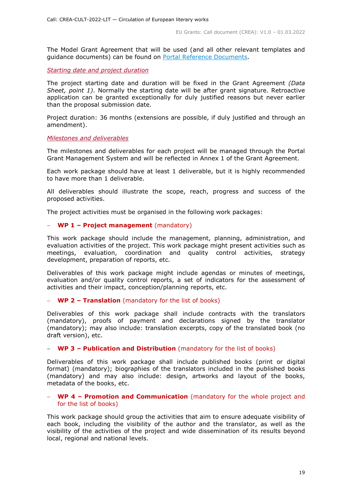The Model Grant Agreement that will be used (and all other relevant templates and guidance documents) can be found on [Portal Reference Documents.](https://ec.europa.eu/info/funding-tenders/opportunities/portal/screen/how-to-participate/reference-documents)

<span id="page-18-0"></span>*Starting date and project duration*

The project starting date and duration will be fixed in the Grant Agreement *(Data Sheet, point 1)*. Normally the starting date will be after grant signature. Retroactive application can be granted exceptionally for duly justified reasons but never earlier than the proposal submission date.

Project duration: 36 months (extensions are possible, if duly justified and through an amendment).

## <span id="page-18-1"></span>*Milestones and deliverables*

The milestones and deliverables for each project will be managed through the Portal Grant Management System and will be reflected in Annex 1 of the Grant Agreement.

Each work package should have at least 1 deliverable, but it is highly recommended to have more than 1 deliverable.

All deliverables should illustrate the scope, reach, progress and success of the proposed activities.

The project activities must be organised in the following work packages:

## − **WP 1 – Project management** (mandatory)

This work package should include the management, planning, administration, and evaluation activities of the project. This work package might present activities such as meetings, evaluation, coordination and quality control activities, strategy development, preparation of reports, etc.

Deliverables of this work package might include agendas or minutes of meetings, evaluation and/or quality control reports, a set of indicators for the assessment of activities and their impact, conception/planning reports, etc.

## − **WP 2 – Translation** (mandatory for the list of books)

Deliverables of this work package shall include contracts with the translators (mandatory), proofs of payment and declarations signed by the translator (mandatory); may also include: translation excerpts, copy of the translated book (no draft version), etc.

#### − **WP 3 – Publication and Distribution** (mandatory for the list of books)

Deliverables of this work package shall include published books (print or digital format) (mandatory); biographies of the translators included in the published books (mandatory) and may also include: design, artworks and layout of the books, metadata of the books, etc.

#### − **WP 4 – Promotion and Communication** (mandatory for the whole project and for the list of books)

This work package should group the activities that aim to ensure adequate visibility of each book, including the visibility of the author and the translator, as well as the visibility of the activities of the project and wide dissemination of its results beyond local, regional and national levels.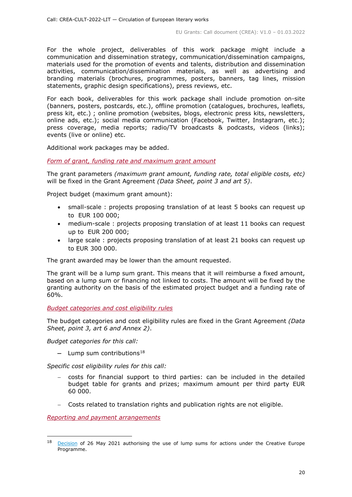For the whole project, deliverables of this work package might include a communication and dissemination strategy, communication/dissemination campaigns, materials used for the promotion of events and talents, distribution and dissemination activities, communication/dissemination materials, as well as advertising and branding materials (brochures, programmes, posters, banners, tag lines, mission statements, graphic design specifications), press reviews, etc.

For each book, deliverables for this work package shall include promotion on-site (banners, posters, postcards, etc.), offline promotion (catalogues, brochures, leaflets, press kit, etc.) ; online promotion (websites, blogs, electronic press kits, newsletters, online ads, etc.); social media communication (Facebook, Twitter, Instagram, etc.); press coverage, media reports; radio/TV broadcasts & podcasts, videos (links); events (live or online) etc.

Additional work packages may be added.

<span id="page-19-0"></span>*Form of grant, funding rate and maximum grant amount*

The grant parameters *(maximum grant amount, funding rate, total eligible costs, etc)* will be fixed in the Grant Agreement *(Data Sheet, point 3 and art 5)*.

Project budget (maximum grant amount):

- small-scale : projects proposing translation of at least 5 books can request up to EUR 100 000;
- medium-scale : projects proposing translation of at least 11 books can request up to EUR 200 000;
- large scale : projects proposing translation of at least 21 books can request up to EUR 300 000.

The grant awarded may be lower than the amount requested.

The grant will be a lump sum grant. This means that it will reimburse a fixed amount, based on a lump sum or financing not linked to costs. The amount will be fixed by the granting authority on the basis of the estimated project budget and a funding rate of 60%.

#### <span id="page-19-1"></span>*Budget categories and cost eligibility rules*

The budget categories and cost eligibility rules are fixed in the Grant Agreement *(Data Sheet, point 3, art 6 and Annex 2)*.

*Budget categories for this call:*

− Lump sum contributions[18](#page-19-3)

*Specific cost eligibility rules for this call:* 

- costs for financial support to third parties: can be included in the detailed budget table for grants and prizes; maximum amount per third party EUR 60 000.
- − Costs related to translation rights and publication rights are not eligible.

<span id="page-19-2"></span>*Reporting and payment arrangements*

<span id="page-19-3"></span><sup>&</sup>lt;sup>18</sup> [Decision](https://ec.europa.eu/info/funding-tenders/opportunities/docs/2021-2027/crea/guidance/ls-decision_crea_en.pdf) of 26 May 2021 authorising the use of lump sums for actions under the Creative Europe Programme.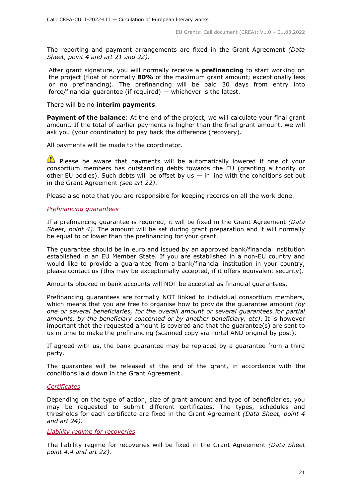The reporting and payment arrangements are fixed in the Grant Agreement *(Data Sheet, point 4 and art 21 and 22)*.

After grant signature, you will normally receive a **prefinancing** to start working on the project (float of normally **80%** of the maximum grant amount; exceptionally less or no prefinancing). The prefinancing will be paid 30 days from entry into force/financial guarantee (if required) — whichever is the latest.

There will be no **interim payments**.

**Payment of the balance**: At the end of the project, we will calculate your final grant amount. If the total of earlier payments is higher than the final grant amount, we will ask you (your coordinator) to pay back the difference (recovery).

All payments will be made to the coordinator.

 $\Box$  Please be aware that payments will be automatically lowered if one of your consortium members has outstanding debts towards the EU (granting authority or other EU bodies). Such debts will be offset by us  $-$  in line with the conditions set out in the Grant Agreement *(see art 22)*.

Please also note that you are responsible for keeping records on all the work done.

## <span id="page-20-0"></span>*Prefinancing guarantees*

If a prefinancing guarantee is required, it will be fixed in the Grant Agreement *(Data Sheet, point 4)*. The amount will be set during grant preparation and it will normally be equal to or lower than the prefinancing for your grant.

The guarantee should be in euro and issued by an approved bank/financial institution established in an EU Member State. If you are established in a non-EU country and would like to provide a guarantee from a bank/financial institution in your country, please contact us (this may be exceptionally accepted, if it offers equivalent security).

Amounts blocked in bank accounts will NOT be accepted as financial guarantees.

Prefinancing guarantees are formally NOT linked to individual consortium members, which means that you are free to organise how to provide the guarantee amount *(by one or several beneficiaries, for the overall amount or several guarantees for partial amounts, by the beneficiary concerned or by another beneficiary, etc)*. It is however important that the requested amount is covered and that the guarantee(s) are sent to us in time to make the prefinancing (scanned copy via Portal AND original by post).

If agreed with us, the bank guarantee may be replaced by a guarantee from a third party.

The guarantee will be released at the end of the grant, in accordance with the conditions laid down in the Grant Agreement.

## <span id="page-20-1"></span>*Certificates*

Depending on the type of action, size of grant amount and type of beneficiaries, you may be requested to submit different certificates. The types, schedules and thresholds for each certificate are fixed in the Grant Agreement *(Data Sheet, point 4 and art 24)*.

#### <span id="page-20-2"></span>*Liability regime for recoveries*

The liability regime for recoveries will be fixed in the Grant Agreement *(Data Sheet point 4.4 and art 22).*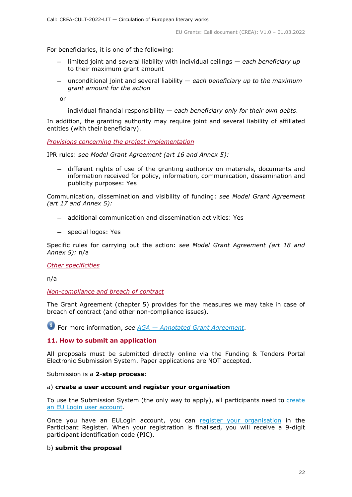For beneficiaries, it is one of the following:

- − limited joint and several liability with individual ceilings *each beneficiary up*  to their maximum grant amount
- − unconditional joint and several liability *each beneficiary up to the maximum grant amount for the action*

or

− individual financial responsibility — *each beneficiary only for their own debts*.

In addition, the granting authority may require joint and several liability of affiliated entities (with their beneficiary).

<span id="page-21-0"></span>*Provisions concerning the project implementation*

IPR rules: *see Model Grant Agreement (art 16 and Annex 5):*

− different rights of use of the granting authority on materials, documents and information received for policy, information, communication, dissemination and publicity purposes: Yes

Communication, dissemination and visibility of funding: *see Model Grant Agreement (art 17 and Annex 5):*

- − additional communication and dissemination activities: Yes
- − special logos: Yes

Specific rules for carrying out the action: *see Model Grant Agreement (art 18 and Annex 5):* n/a

## <span id="page-21-1"></span>*Other specificities*

n/a

<span id="page-21-2"></span>*Non-compliance and breach of contract*

The Grant Agreement (chapter 5) provides for the measures we may take in case of breach of contract (and other non-compliance issues).

For more information, *see AGA — [Annotated Grant Agreement](https://ec.europa.eu/info/funding-tenders/opportunities/docs/2021-2027/common/guidance/aga_en.pdf)*.

## <span id="page-21-3"></span>**11. How to submit an application**

All proposals must be submitted directly online via the Funding & Tenders Portal Electronic Submission System. Paper applications are NOT accepted.

Submission is a **2-step process**:

## a) **create a user account and register your organisation**

To use the Submission System (the only way to apply), all participants need to create [an EU Login user account.](https://webgate.ec.europa.eu/cas/eim/external/register.cgi)

Once you have an EULogin account, you can [register your organisation](https://ec.europa.eu/info/funding-tenders/opportunities/portal/screen/how-to-participate/participant-register) in the Participant Register. When your registration is finalised, you will receive a 9-digit participant identification code (PIC).

## b) **submit the proposal**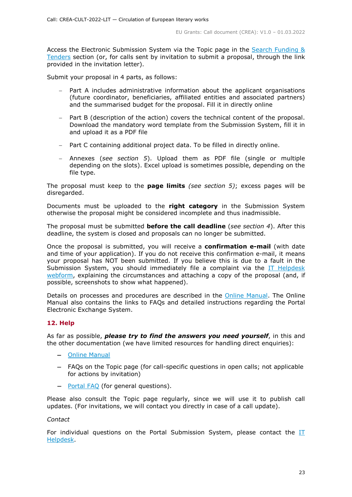Access the Electronic Submission System via the Topic page in the [Search Funding &](https://ec.europa.eu/info/funding-tenders/opportunities/portal/screen/opportunities/topic-search;freeTextSearchKeyword=;typeCodes=0,1;statusCodes=31094501,31094502,31094503;programCode=null;programDivisionCode=null;focusAreaCode=null;crossCuttingPriorityCode=null;callCode=Default;sortQuery=openingDate;orderBy=asc;onlyTenders=false;topicListKey=topicSearchTablePageState)  [Tenders](https://ec.europa.eu/info/funding-tenders/opportunities/portal/screen/opportunities/topic-search;freeTextSearchKeyword=;typeCodes=0,1;statusCodes=31094501,31094502,31094503;programCode=null;programDivisionCode=null;focusAreaCode=null;crossCuttingPriorityCode=null;callCode=Default;sortQuery=openingDate;orderBy=asc;onlyTenders=false;topicListKey=topicSearchTablePageState) section (or, for calls sent by invitation to submit a proposal, through the link provided in the invitation letter).

Submit your proposal in 4 parts, as follows:

- Part A includes administrative information about the applicant organisations (future coordinator, beneficiaries, affiliated entities and associated partners) and the summarised budget for the proposal. Fill it in directly online
- Part B (description of the action) covers the technical content of the proposal. Download the mandatory word template from the Submission System, fill it in and upload it as a PDF file
- Part C containing additional project data. To be filled in directly online.
- − Annexes (*see section 5*). Upload them as PDF file (single or multiple depending on the slots). Excel upload is sometimes possible, depending on the file type.

The proposal must keep to the **page limits** *(see section 5)*; excess pages will be disregarded.

Documents must be uploaded to the **right category** in the Submission System otherwise the proposal might be considered incomplete and thus inadmissible.

The proposal must be submitted **before the call deadline** (*see section 4*). After this deadline, the system is closed and proposals can no longer be submitted.

Once the proposal is submitted, you will receive a **confirmation e-mail** (with date and time of your application). If you do not receive this confirmation e-mail, it means your proposal has NOT been submitted. If you believe this is due to a fault in the Submission System, you should immediately file a complaint via the [IT Helpdesk](https://ec.europa.eu/info/funding-tenders/opportunities/portal/screen/support/helpdesks/contact-form)  [webform,](https://ec.europa.eu/info/funding-tenders/opportunities/portal/screen/support/helpdesks/contact-form) explaining the circumstances and attaching a copy of the proposal (and, if possible, screenshots to show what happened).

Details on processes and procedures are described in the [Online Manual.](https://ec.europa.eu/info/funding-tenders/opportunities/docs/2021-2027/common/guidance/om_en.pdf) The Online Manual also contains the links to FAQs and detailed instructions regarding the Portal Electronic Exchange System.

## <span id="page-22-0"></span>**12. Help**

As far as possible, *please try to find the answers you need yourself*, in this and the other documentation (we have limited resources for handling direct enquiries):

- − [Online Manual](https://ec.europa.eu/info/funding-tenders/opportunities/docs/2021-2027/common/guidance/om_en.pdf)
- − FAQs on the Topic page (for call-specific questions in open calls; not applicable for actions by invitation)
- − [Portal FAQ](https://ec.europa.eu/info/funding-tenders/opportunities/portal/screen/support/faq;categories=;programme=null;actions=;keyword=) (for general questions).

Please also consult the Topic page regularly, since we will use it to publish call updates. (For invitations, we will contact you directly in case of a call update).

## *Contact*

For individual questions on the Portal Submission System, please contact the [IT](https://ec.europa.eu/info/funding-tenders/opportunities/portal/screen/support/helpdesks/contact-form)  [Helpdesk.](https://ec.europa.eu/info/funding-tenders/opportunities/portal/screen/support/helpdesks/contact-form)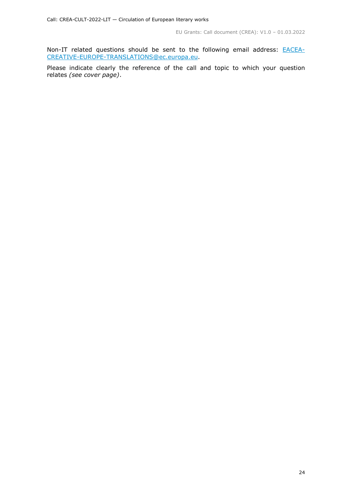Non-IT related questions should be sent to the following email address: **[EACEA-](mailto:EACEA-CREATIVE-EUROPE-TRANSLATIONS@ec.europa.eu)**[CREATIVE-EUROPE-TRANSLATIONS@ec.europa.eu.](mailto:EACEA-CREATIVE-EUROPE-TRANSLATIONS@ec.europa.eu)

Please indicate clearly the reference of the call and topic to which your question relates *(see cover page)*.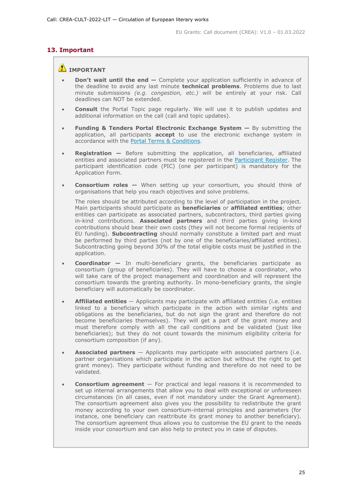## <span id="page-24-0"></span>**13. Important**

## **IMPORTANT**

- **Don't wait until the end —** Complete your application sufficiently in advance of the deadline to avoid any last minute **technical problems**. Problems due to last minute submissions *(e.g. congestion, etc.)* will be entirely at your risk. Call deadlines can NOT be extended.
- **Consult** the Portal Topic page regularly. We will use it to publish updates and additional information on the call (call and topic updates).
- **Funding & Tenders Portal Electronic Exchange System —** By submitting the application, all participants **accept** to use the electronic exchange system in accordance with the [Portal Terms & Conditions.](https://ec.europa.eu/info/funding-tenders/opportunities/docs/2021-2027/common/ftp/tc_en.pdf)
- **Registration —** Before submitting the application, all beneficiaries, affiliated entities and associated partners must be registered in the [Participant Register.](https://ec.europa.eu/info/funding-tenders/opportunities/portal/screen/how-to-participate/participant-register) The participant identification code (PIC) (one per participant) is mandatory for the Application Form.
- **Consortium roles —** When setting up your consortium, you should think of organisations that help you reach objectives and solve problems.

The roles should be attributed according to the level of participation in the project. Main participants should participate as **beneficiaries** or **affiliated entities**; other entities can participate as associated partners, subcontractors, third parties giving in-kind contributions. **Associated partners** and third parties giving in-kind contributions should bear their own costs (they will not become formal recipients of EU funding). **Subcontracting** should normally constitute a limited part and must be performed by third parties (not by one of the beneficiaries/affiliated entities). Subcontracting going beyond 30% of the total eligible costs must be justified in the application.

- **Coordinator —** In multi-beneficiary grants, the beneficiaries participate as consortium (group of beneficiaries). They will have to choose a coordinator, who will take care of the project management and coordination and will represent the consortium towards the granting authority. In mono-beneficiary grants, the single beneficiary will automatically be coordinator.
- **Affiliated entities** Applicants may participate with affiliated entities (i.e. entities linked to a beneficiary which participate in the action with similar rights and obligations as the beneficiaries, but do not sign the grant and therefore do not become beneficiaries themselves). They will get a part of the grant money and must therefore comply with all the call conditions and be validated (just like beneficiaries); but they do not count towards the minimum eligibility criteria for consortium composition (if any).
- **Associated partners** Applicants may participate with associated partners (i.e. partner organisations which participate in the action but without the right to get grant money). They participate without funding and therefore do not need to be validated.
- **Consortium agreement**  For practical and legal reasons it is recommended to set up internal arrangements that allow you to deal with exceptional or unforeseen circumstances (in all cases, even if not mandatory under the Grant Agreement). The consortium agreement also gives you the possibility to redistribute the grant money according to your own consortium-internal principles and parameters (for instance, one beneficiary can reattribute its grant money to another beneficiary). The consortium agreement thus allows you to customise the EU grant to the needs inside your consortium and can also help to protect you in case of disputes.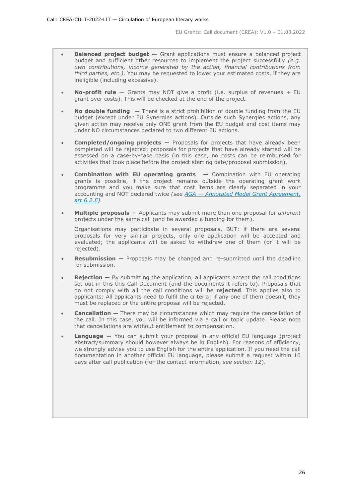- **Balanced project budget -** Grant applications must ensure a balanced project budget and sufficient other resources to implement the project successfully *(e.g. own contributions, income generated by the action, financial contributions from third parties, etc.)*. You may be requested to lower your estimated costs, if they are ineligible (including excessive).
- **No-profit rule** Grants may NOT give a profit (i.e. surplus of revenues + EU grant over costs). This will be checked at the end of the project.
- **No double funding —** There is a strict prohibition of double funding from the EU budget (except under EU Synergies actions). Outside such Synergies actions, any given action may receive only ONE grant from the EU budget and cost items may under NO circumstances declared to two different EU actions.
- **Completed/ongoing projects —** Proposals for projects that have already been completed will be rejected; proposals for projects that have already started will be assessed on a case-by-case basis (in this case, no costs can be reimbursed for activities that took place before the project starting date/proposal submission).
- **Combination with EU operating grants —** Combination with EU operating grants is possible, if the project remains outside the operating grant work programme and you make sure that cost items are clearly separated in your accounting and NOT declared twice *(see AGA — [Annotated Model Grant Agreement,](https://ec.europa.eu/info/funding-tenders/opportunities/docs/2021-2027/common/guidance/aga_en.pdf)  [art 6.2.E\)](https://ec.europa.eu/info/funding-tenders/opportunities/docs/2021-2027/common/guidance/aga_en.pdf).*
- **Multiple proposals —** Applicants may submit more than one proposal for *different* projects under the same call (and be awarded a funding for them).

Organisations may participate in several proposals. BUT: if there are several proposals for very similar projects, only one application will be accepted and evaluated; the applicants will be asked to withdraw one of them (or it will be rejected).

- **Resubmission** Proposals may be changed and re-submitted until the deadline for submission.
- **Rejection –** By submitting the application, all applicants accept the call conditions set out in this this Call Document (and the documents it refers to). Proposals that do not comply with all the call conditions will be **rejected**. This applies also to applicants: All applicants need to fulfil the criteria; if any one of them doesn't, they must be replaced or the entire proposal will be rejected.
- **Cancellation –** There may be circumstances which may require the cancellation of the call. In this case, you will be informed via a call or topic update. Please note that cancellations are without entitlement to compensation.
- **Language** You can submit your proposal in any official EU language (project abstract/summary should however always be in English). For reasons of efficiency, we strongly advise you to use English for the entire application. If you need the call documentation in another official EU language, please submit a request within 10 days after call publication (for the contact information, *see section 12*).